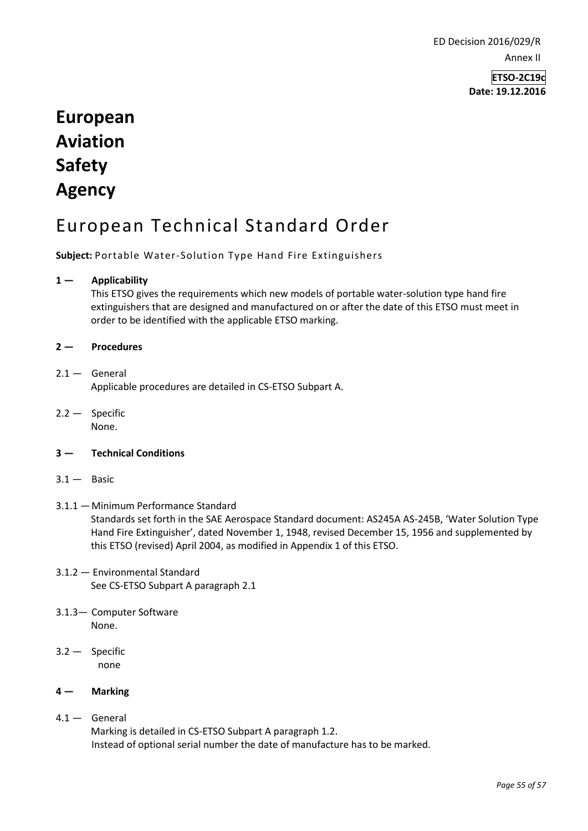ED Decision 2016/029/R Annex II

> **ETSO-2C19c Date: 19.12.2016**

# **European Aviation Safety Agency**

# European Technical Standard Order

**Subject:** Portable Water-Solution Type Hand Fire Extinguishers

# **1 — Applicability**

This ETSO gives the requirements which new models of portable water-solution type hand fire extinguishers that are designed and manufactured on or after the date of this ETSO must meet in order to be identified with the applicable ETSO marking.

# **2 — Procedures**

# $2.1 -$  General

Applicable procedures are detailed in CS-ETSO Subpart A.

2.2 — Specific None.

# **3 — Technical Conditions**

 $3.1 -$  Basic

#### 3.1.1 —Minimum Performance Standard Standards set forth in the SAE Aerospace Standard document: AS245A AS-245B, 'Water Solution Type Hand Fire Extinguisher', dated November 1, 1948, revised December 15, 1956 and supplemented by this ETSO (revised) April 2004, as modified in Appendix 1 of this ETSO.

- 3.1.2 Environmental Standard See CS-ETSO Subpart A paragraph 2.1
- 3.1.3— Computer Software None.
- 3.2 Specific none

# **4 — Marking**

4.1 — General Marking is detailed in CS-ETSO Subpart A paragraph 1.2. Instead of optional serial number the date of manufacture has to be marked.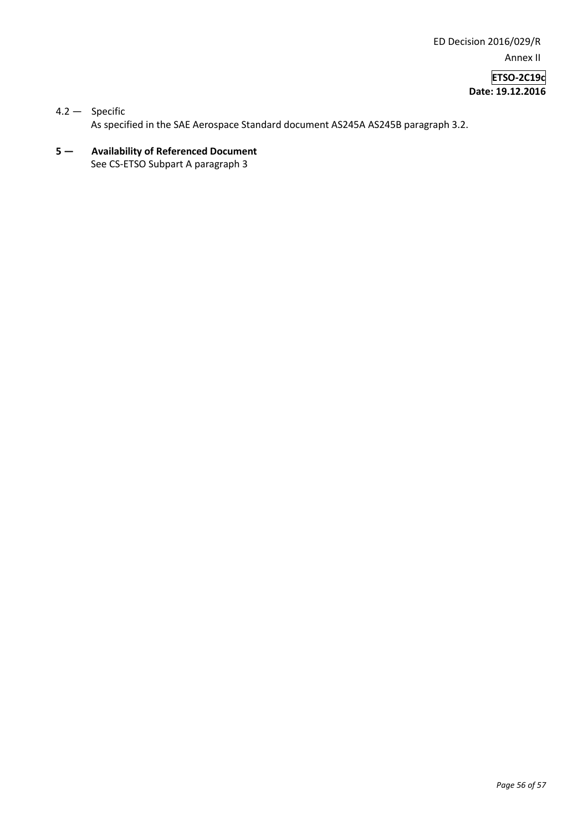ED Decision 2016/029/R Annex II

**ETSO-2C19c Date: 19.12.2016**

# 4.2 — Specific As specified in the SAE Aerospace Standard document AS245A AS245B paragraph 3.2.

**5 — Availability of Referenced Document**  See CS-ETSO Subpart A paragraph 3